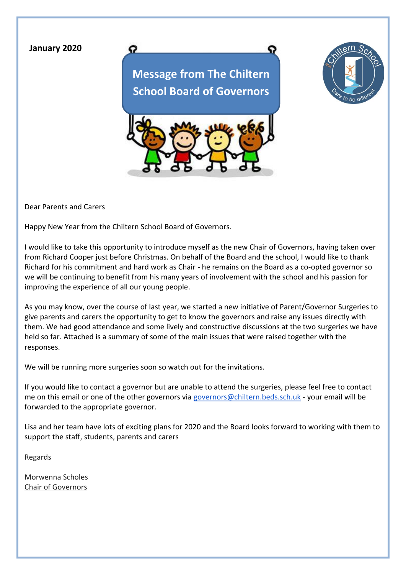## **January 2020**

**Message from The Chiltern School Board of Governors**





Dear Parents and Carers

Happy New Year from the Chiltern School Board of Governors.

ດ

I would like to take this opportunity to introduce myself as the new Chair of Governors, having taken over from Richard Cooper just before Christmas. On behalf of the Board and the school, I would like to thank Richard for his commitment and hard work as Chair - he remains on the Board as a co-opted governor so we will be continuing to benefit from his many years of involvement with the school and his passion for improving the experience of all our young people.

As you may know, over the course of last year, we started a new initiative of Parent/Governor Surgeries to give parents and carers the opportunity to get to know the governors and raise any issues directly with them. We had good attendance and some lively and constructive discussions at the two surgeries we have held so far. Attached is a summary of some of the main issues that were raised together with the responses.

We will be running more surgeries soon so watch out for the invitations.

If you would like to contact a governor but are unable to attend the surgeries, please feel free to contact me on this email or one of the other governors via [governors@chiltern.beds.sch.uk](mailto:governors@chiltern.beds.sch.uk) - your email will be forwarded to the appropriate governor.

Lisa and her team have lots of exciting plans for 2020 and the Board looks forward to working with them to support the staff, students, parents and carers

Regards

Morwenna Scholes Chair of Governors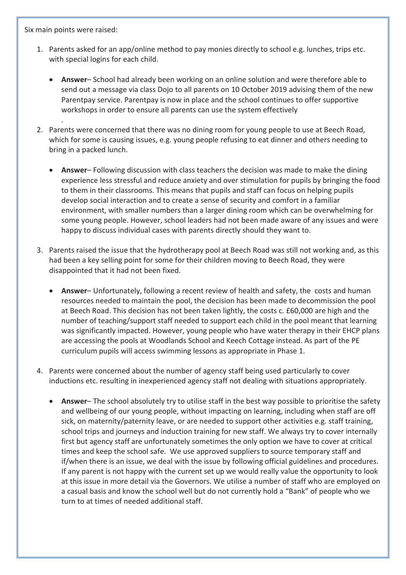Six main points were raised:

.

- 1. Parents asked for an app/online method to pay monies directly to school e.g. lunches, trips etc. with special logins for each child.
	- **Answer** School had already been working on an online solution and were therefore able to send out a message via class Dojo to all parents on 10 October 2019 advising them of the new Parentpay service. Parentpay is now in place and the school continues to offer supportive workshops in order to ensure all parents can use the system effectively
- 2. Parents were concerned that there was no dining room for young people to use at Beech Road, which for some is causing issues, e.g. young people refusing to eat dinner and others needing to bring in a packed lunch.
	- **Answer** Following discussion with class teachers the decision was made to make the dining experience less stressful and reduce anxiety and over stimulation for pupils by bringing the food to them in their classrooms. This means that pupils and staff can focus on helping pupils develop social interaction and to create a sense of security and comfort in a familiar environment, with smaller numbers than a larger dining room which can be overwhelming for some young people. However, school leaders had not been made aware of any issues and were happy to discuss individual cases with parents directly should they want to.
- 3. Parents raised the issue that the hydrotherapy pool at Beech Road was still not working and, as this had been a key selling point for some for their children moving to Beech Road, they were disappointed that it had not been fixed.
	- **Answer** Unfortunately, following a recent review of health and safety, the costs and human resources needed to maintain the pool, the decision has been made to decommission the pool at Beech Road. This decision has not been taken lightly, the costs c. £60,000 are high and the number of teaching/support staff needed to support each child in the pool meant that learning was significantly impacted. However, young people who have water therapy in their EHCP plans are accessing the pools at Woodlands School and Keech Cottage instead. As part of the PE curriculum pupils will access swimming lessons as appropriate in Phase 1.
- 4. Parents were concerned about the number of agency staff being used particularly to cover inductions etc. resulting in inexperienced agency staff not dealing with situations appropriately.
	- **Answer** The school absolutely try to utilise staff in the best way possible to prioritise the safety and wellbeing of our young people, without impacting on learning, including when staff are off sick, on maternity/paternity leave, or are needed to support other activities e.g. staff training, school trips and journeys and induction training for new staff. We always try to cover internally first but agency staff are unfortunately sometimes the only option we have to cover at critical times and keep the school safe. We use approved suppliers to source temporary staff and if/when there is an issue, we deal with the issue by following official guidelines and procedures. If any parent is not happy with the current set up we would really value the opportunity to look at this issue in more detail via the Governors. We utilise a number of staff who are employed on a casual basis and know the school well but do not currently hold a "Bank" of people who we turn to at times of needed additional staff.